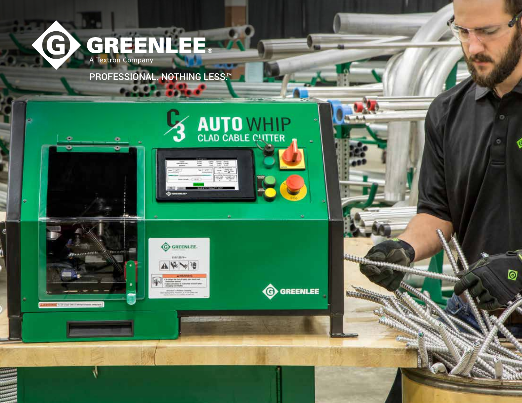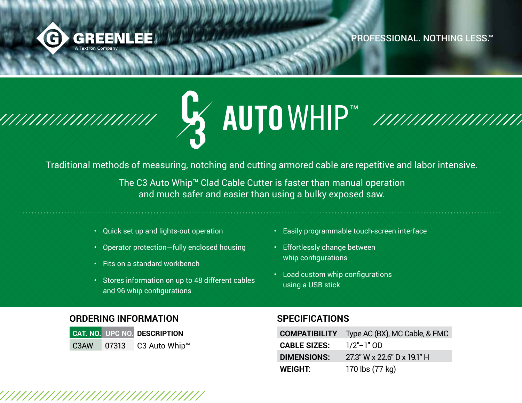

PROFESSIONAL. NOTHING LESS.™



Traditional methods of measuring, notching and cutting armored cable are repetitive and labor intensive.

The C3 Auto Whip™ Clad Cable Cutter is faster than manual operation and much safer and easier than using a bulky exposed saw.

- Quick set up and lights-out operation
- Operator protection—fully enclosed housing
- Fits on a standard workbench
- Stores information on up to 48 different cables and 96 whip configurations
- Easily programmable touch-screen interface
- Effortlessly change between whip configurations
- Load custom whip configurations using a USB stick

## **ORDERING INFORMATION**

|      |       | <b>CAT. NO. UPC NO. DESCRIPTION</b> |
|------|-------|-------------------------------------|
| C3AW | 07313 | C3 Auto Whip™                       |

## **SPECIFICATIONS**

| <b>COMPATIBILITY</b> | Type AC (BX), MC Cable, & FMC |
|----------------------|-------------------------------|
| <b>CABLE SIZES:</b>  | $1/2"$ – $1"$ OD              |
| <b>DIMENSIONS:</b>   | 27.3" W x 22.6" D x 19.1" H   |
| WEIGHT:              | 170 lbs (77 kg)               |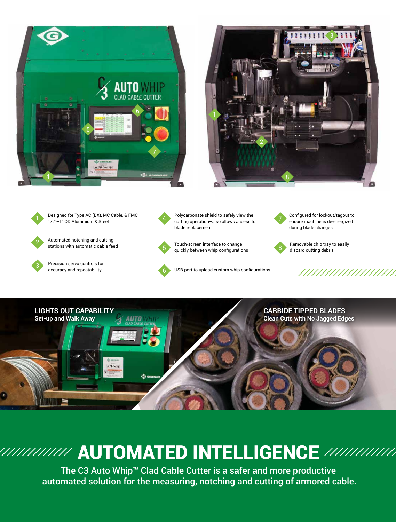





Designed for Type AC (BX), MC Cable, & FMC 1/2"–1" OD Aluminium & Steel



Automated notching and cutting Automated notching and cutting<br>stations with automatic cable feed **Removable chip tray to easily** 



Precision servo controls for accuracy and repeatability



5

6

Polycarbonate shield to safely view the cutting operation–also allows access for blade replacement



USB port to upload custom whip configurations



Configured for lockout/tagout to ensure machine is de-energized during blade changes



discard cutting debris



## AUTOMATED INTELLIGENCE AUTOMATED INTELLIGENCE

The C3 Auto Whin<sup>t Clad</sup> Cable Cutter is a safer and more productive automated solution for the notching and cutting of armored cable. automated solution for the measuring, notching and cutting of armored cable. The C3 Auto Whip™ Clad Cable Cutter is a safer and more productive